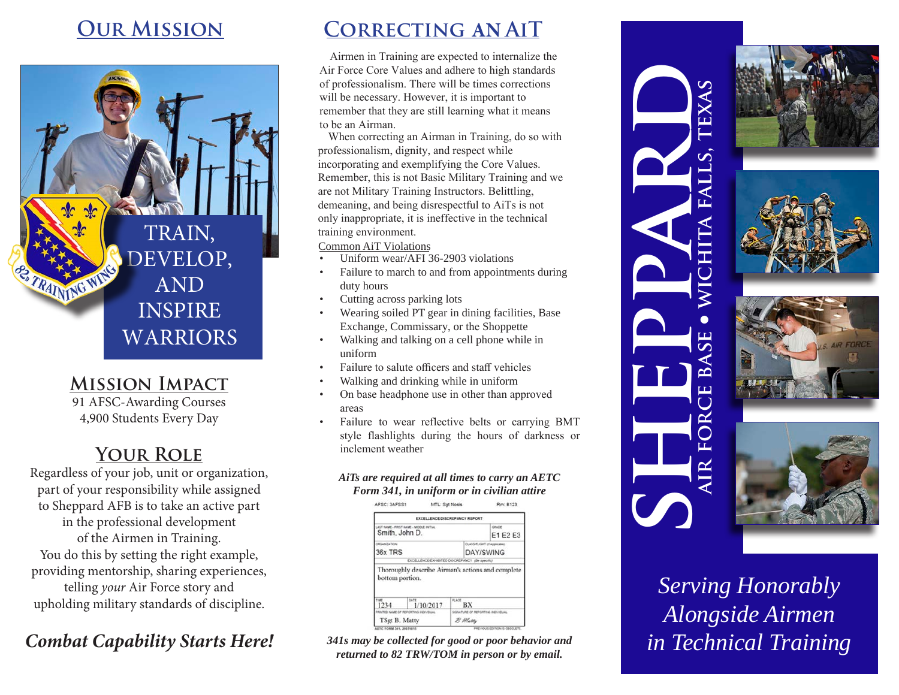TRAIN, DEVELOP, AND INSPIRE WARRIORS

## **Mission Impact**

TRAINING VIOLE

91 AFSC-Awarding Courses 4,900 Students Every Day

## **Your Role**

Regardless of your job, unit or organization, part of your responsibility while assigned to Sheppard AFB is to take an active part in the professional development of the Airmen in Training. You do this by setting the right example, providing mentorship, sharing experiences, telling *your* Air Force story and upholding military standards of discipline.

## *Combat Capability Starts Here!*

## **Our Mission Correcting AN AiT**

Airmen in Training are expected to internalize the Air Force Core Values and adhere to high standards of professionalism. There will be times corrections will be necessary. However, it is important to remember that they are still learning what it means to be an Airman.

When correcting an Airman in Training, do so with professionalism, dignity, and respect while incorporating and exemplifying the Core Values. Remember, this is not Basic Military Training and we are not Military Training Instructors. Belittling, demeaning, and being disrespectful to AiTs is not only inappropriate, it is ineffective in the technical training environment.

Common AiT Violations

- Uniform wear/AFI 36-2903 violations
- Failure to march to and from appointments during duty hours
- Cutting across parking lots
- Wearing soiled PT gear in dining facilities, Base Exchange, Commissary, or the Shoppette
- Walking and talking on a cell phone while in uniform
- Failure to salute officers and staff vehicles
- Walking and drinking while in uniform
- On base headphone use in other than approved areas
- Failure to wear reflective belts or carrying BMT style flashlights during the hours of darkness or inclement weather

#### *AiTs are required at all times to carry an AETC Form 341, in uniform or in civilian attire*

AFSC: 3AFSS1 Rm: 8123 MTL: Sgt Nosis EXPELLENCE/NAPARA LICY RENANT Smith, John D. E1 E2 E3 36x TRS DAY/SWING **EXCELLENCE/EXHIBITED** Thoroughly describe Airman's actions and complete bottom portion 1234  $1/10/2017$ BX TSgt B. Matty  $B$  Matty

*341s may be collected for good or poor behavior and returned to 82 TRW/TOM in person or by email.*









*Serving Honorably Alongside Airmen in Technical Training*

SHEPPARD

**air force base** 

ட

 $R$ 

 $\overline{C}$  $\bf \Xi$ 

<u>ഹ</u>

l **wichita falls, texas**

EXAS